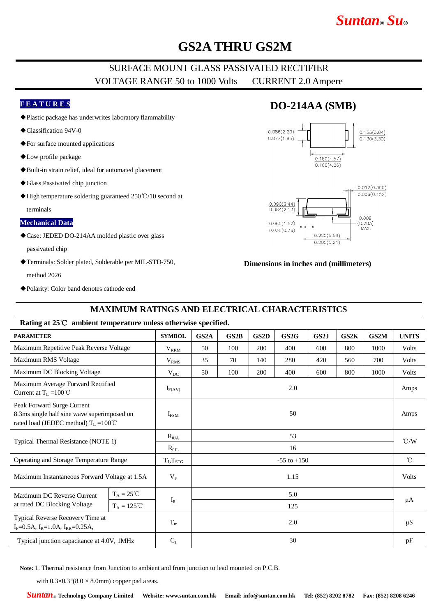# *Suntan***®** *Su***®**

## **GS2A THRU GS2M**

### SURFACE MOUNT GLASS PASSIVATED RECTIFIER VOLTAGE RANGE 50 to 1000 Volts CURRENT 2.0 Ampere

### **F E A T U R E S**

- ◆Plastic package has underwrites laboratory flammability
- ◆Classification 94V-0
- ◆For surface mounted applications
- ◆Low profile package
- ◆Built-in strain relief, ideal for automated placement
- ◆Glass Passivated chip junction
- ◆High temperature soldering guaranteed 250℃/10 second at terminals

#### **Mechanical Data**

◆Case: JEDED DO-214AA molded plastic over glass

passivated chip

- ◆Terminals: Solder plated, Solderable per MIL-STD-750, method 2026
- ◆Polarity: Color band denotes cathode end

## **DO-214AA (SMB)**





#### **Dimensions in inches and (millimeters)**

### **MAXIMUM RATINGS AND ELECTRICAL CHARACTERISTICS**

#### **Rating at 25**℃ **ambient temperature unless otherwise specified.**

| <b>PARAMETER</b>                                                                                                            | <b>SYMBOL</b>         | GS <sub>2</sub> A | GS2B | GS <sub>2</sub> D | GS2G | GS2J | GS2K | GS2M | <b>UNITS</b>  |
|-----------------------------------------------------------------------------------------------------------------------------|-----------------------|-------------------|------|-------------------|------|------|------|------|---------------|
| Maximum Repetitive Peak Reverse Voltage                                                                                     | $V_{RRM}$             | 50                | 100  | 200               | 400  | 600  | 800  | 1000 | Volts         |
| Maximum RMS Voltage                                                                                                         | V <sub>RMS</sub>      | 35                | 70   | 140               | 280  | 420  | 560  | 700  | Volts         |
| Maximum DC Blocking Voltage                                                                                                 | $V_{DC}$              | 50                | 100  | 200               | 400  | 600  | 800  | 1000 | Volts         |
| Maximum Average Forward Rectified<br>Current at $T_L = 100^{\circ}C$                                                        | $I_{F(AV)}$           | 2.0               |      |                   |      |      |      |      | Amps          |
| Peak Forward Surge Current<br>8.3ms single half sine wave superimposed on<br>rated load (JEDEC method) $T_L = 100^{\circ}C$ | $I_{FSM}$             | 50                |      |                   |      |      |      |      | Amps          |
|                                                                                                                             | $R_{\theta JA}$       | 53                |      |                   |      |      |      |      | $\degree$ C/W |
| Typical Thermal Resistance (NOTE 1)                                                                                         | $R_{\theta IL}$       | 16                |      |                   |      |      |      |      |               |
| Operating and Storage Temperature Range                                                                                     | $T_J, T_{STG}$        | $-55$ to $+150$   |      |                   |      |      |      |      | $^{\circ}$ C  |
| Maximum Instantaneous Forward Voltage at 1.5A                                                                               | $V_{\rm F}$           | 1.15              |      |                   |      |      |      |      | Volts         |
| $T_A = 25^{\circ}C$<br>Maximum DC Reverse Current                                                                           |                       | 5.0               |      |                   |      |      |      |      | μA            |
| at rated DC Blocking Voltage<br>$T_A = 125^{\circ}C$                                                                        | $\mathbf{I}_\text{R}$ | 125               |      |                   |      |      |      |      |               |
| Typical Reverse Recovery Time at<br>$I_F = 0.5A$ , $I_R = 1.0A$ , $I_{RR} = 0.25A$ ,                                        | $T_{rr}$              | 2.0               |      |                   |      |      | μS   |      |               |
| Typical junction capacitance at 4.0V, 1MHz                                                                                  | $C_{J}$               | 30                |      |                   |      |      |      |      | pF            |

**Note:** 1. Thermal resistance from Junction to ambient and from junction to lead mounted on P.C.B.

with  $0.3 \times 0.3$ " $(8.0 \times 8.0$ mm) copper pad areas.